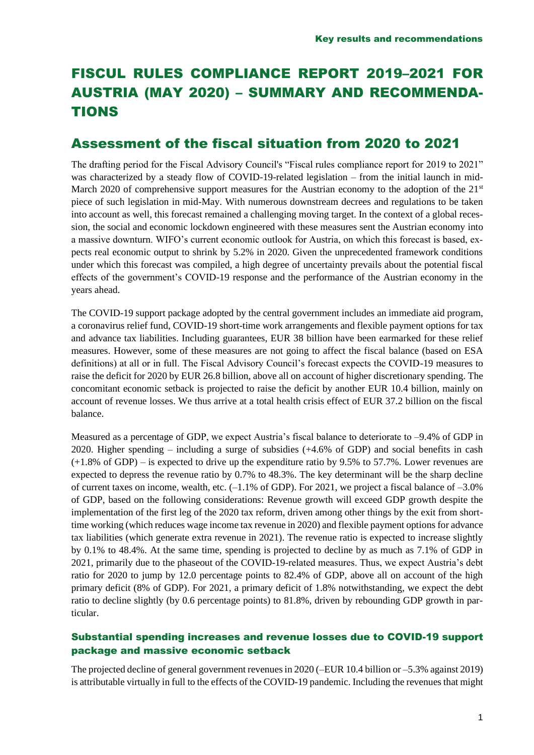# FISCUL RULES COMPLIANCE REPORT 2019–2021 FOR AUSTRIA (MAY 2020) – SUMMARY AND RECOMMENDA-TIONS

## Assessment of the fiscal situation from 2020 to 2021

The drafting period for the Fiscal Advisory Council's "Fiscal rules compliance report for 2019 to 2021" was characterized by a steady flow of COVID-19-related legislation – from the initial launch in mid-March 2020 of comprehensive support measures for the Austrian economy to the adoption of the 21<sup>st</sup> piece of such legislation in mid-May. With numerous downstream decrees and regulations to be taken into account as well, this forecast remained a challenging moving target. In the context of a global recession, the social and economic lockdown engineered with these measures sent the Austrian economy into a massive downturn. WIFO's current economic outlook for Austria, on which this forecast is based, expects real economic output to shrink by 5.2% in 2020. Given the unprecedented framework conditions under which this forecast was compiled, a high degree of uncertainty prevails about the potential fiscal effects of the government's COVID-19 response and the performance of the Austrian economy in the years ahead.

The COVID-19 support package adopted by the central government includes an immediate aid program, a coronavirus relief fund, COVID-19 short-time work arrangements and flexible payment options for tax and advance tax liabilities. Including guarantees, EUR 38 billion have been earmarked for these relief measures. However, some of these measures are not going to affect the fiscal balance (based on ESA definitions) at all or in full. The Fiscal Advisory Council's forecast expects the COVID-19 measures to raise the deficit for 2020 by EUR 26.8 billion, above all on account of higher discretionary spending. The concomitant economic setback is projected to raise the deficit by another EUR 10.4 billion, mainly on account of revenue losses. We thus arrive at a total health crisis effect of EUR 37.2 billion on the fiscal balance.

Measured as a percentage of GDP, we expect Austria's fiscal balance to deteriorate to –9.4% of GDP in 2020. Higher spending – including a surge of subsidies (+4.6% of GDP) and social benefits in cash (+1.8% of GDP) – is expected to drive up the expenditure ratio by 9.5% to 57.7%. Lower revenues are expected to depress the revenue ratio by 0.7% to 48.3%. The key determinant will be the sharp decline of current taxes on income, wealth, etc.  $(-1.1\%$  of GDP). For 2021, we project a fiscal balance of  $-3.0\%$ of GDP, based on the following considerations: Revenue growth will exceed GDP growth despite the implementation of the first leg of the 2020 tax reform, driven among other things by the exit from shorttime working (which reduces wage income tax revenue in 2020) and flexible payment options for advance tax liabilities (which generate extra revenue in 2021). The revenue ratio is expected to increase slightly by 0.1% to 48.4%. At the same time, spending is projected to decline by as much as 7.1% of GDP in 2021, primarily due to the phaseout of the COVID-19-related measures. Thus, we expect Austria's debt ratio for 2020 to jump by 12.0 percentage points to 82.4% of GDP, above all on account of the high primary deficit (8% of GDP). For 2021, a primary deficit of 1.8% notwithstanding, we expect the debt ratio to decline slightly (by 0.6 percentage points) to 81.8%, driven by rebounding GDP growth in particular.

## Substantial spending increases and revenue losses due to COVID-19 support package and massive economic setback

The projected decline of general government revenues in 2020 (–EUR 10.4 billion or –5.3% against 2019) is attributable virtually in full to the effects of the COVID-19 pandemic. Including the revenues that might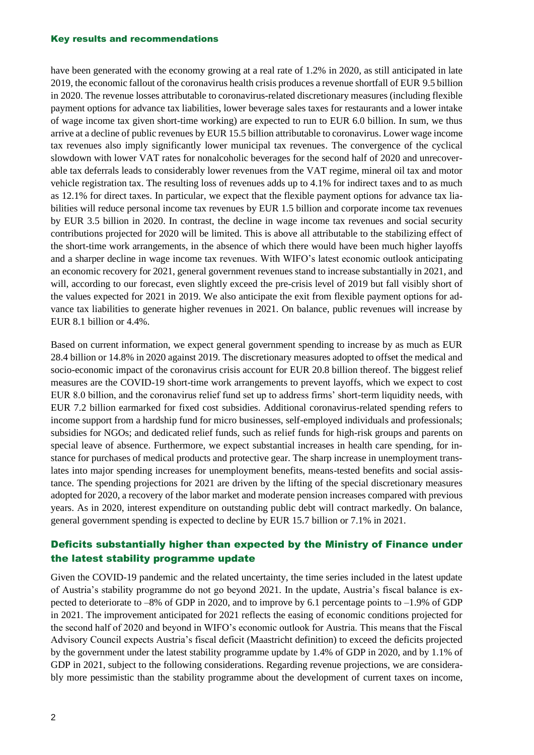#### Key results and recommendations

have been generated with the economy growing at a real rate of 1.2% in 2020, as still anticipated in late 2019, the economic fallout of the coronavirus health crisis produces a revenue shortfall of EUR 9.5 billion in 2020. The revenue losses attributable to coronavirus-related discretionary measures (including flexible payment options for advance tax liabilities, lower beverage sales taxes for restaurants and a lower intake of wage income tax given short-time working) are expected to run to EUR 6.0 billion. In sum, we thus arrive at a decline of public revenues by EUR 15.5 billion attributable to coronavirus. Lower wage income tax revenues also imply significantly lower municipal tax revenues. The convergence of the cyclical slowdown with lower VAT rates for nonalcoholic beverages for the second half of 2020 and unrecoverable tax deferrals leads to considerably lower revenues from the VAT regime, mineral oil tax and motor vehicle registration tax. The resulting loss of revenues adds up to 4.1% for indirect taxes and to as much as 12.1% for direct taxes. In particular, we expect that the flexible payment options for advance tax liabilities will reduce personal income tax revenues by EUR 1.5 billion and corporate income tax revenues by EUR 3.5 billion in 2020. In contrast, the decline in wage income tax revenues and social security contributions projected for 2020 will be limited. This is above all attributable to the stabilizing effect of the short-time work arrangements, in the absence of which there would have been much higher layoffs and a sharper decline in wage income tax revenues. With WIFO's latest economic outlook anticipating an economic recovery for 2021, general government revenues stand to increase substantially in 2021, and will, according to our forecast, even slightly exceed the pre-crisis level of 2019 but fall visibly short of the values expected for 2021 in 2019. We also anticipate the exit from flexible payment options for advance tax liabilities to generate higher revenues in 2021. On balance, public revenues will increase by EUR 8.1 billion or 4.4%.

Based on current information, we expect general government spending to increase by as much as EUR 28.4 billion or 14.8% in 2020 against 2019. The discretionary measures adopted to offset the medical and socio-economic impact of the coronavirus crisis account for EUR 20.8 billion thereof. The biggest relief measures are the COVID-19 short-time work arrangements to prevent layoffs, which we expect to cost EUR 8.0 billion, and the coronavirus relief fund set up to address firms' short-term liquidity needs, with EUR 7.2 billion earmarked for fixed cost subsidies. Additional coronavirus-related spending refers to income support from a hardship fund for micro businesses, self-employed individuals and professionals; subsidies for NGOs; and dedicated relief funds, such as relief funds for high-risk groups and parents on special leave of absence. Furthermore, we expect substantial increases in health care spending, for instance for purchases of medical products and protective gear. The sharp increase in unemployment translates into major spending increases for unemployment benefits, means-tested benefits and social assistance. The spending projections for 2021 are driven by the lifting of the special discretionary measures adopted for 2020, a recovery of the labor market and moderate pension increases compared with previous years. As in 2020, interest expenditure on outstanding public debt will contract markedly. On balance, general government spending is expected to decline by EUR 15.7 billion or 7.1% in 2021.

## Deficits substantially higher than expected by the Ministry of Finance under the latest stability programme update

Given the COVID-19 pandemic and the related uncertainty, the time series included in the latest update of Austria's stability programme do not go beyond 2021. In the update, Austria's fiscal balance is expected to deteriorate to –8% of GDP in 2020, and to improve by 6.1 percentage points to –1.9% of GDP in 2021. The improvement anticipated for 2021 reflects the easing of economic conditions projected for the second half of 2020 and beyond in WIFO's economic outlook for Austria. This means that the Fiscal Advisory Council expects Austria's fiscal deficit (Maastricht definition) to exceed the deficits projected by the government under the latest stability programme update by 1.4% of GDP in 2020, and by 1.1% of GDP in 2021, subject to the following considerations. Regarding revenue projections, we are considerably more pessimistic than the stability programme about the development of current taxes on income,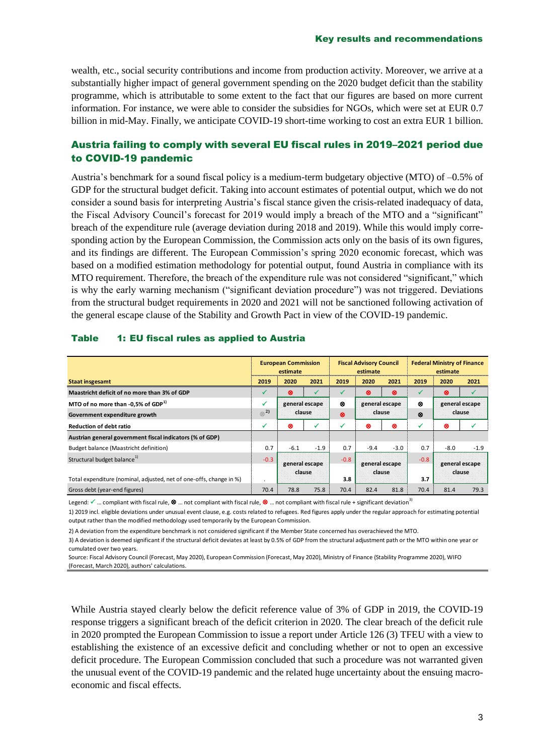wealth, etc., social security contributions and income from production activity. Moreover, we arrive at a substantially higher impact of general government spending on the 2020 budget deficit than the stability programme, which is attributable to some extent to the fact that our figures are based on more current information. For instance, we were able to consider the subsidies for NGOs, which were set at EUR 0.7 billion in mid-May. Finally, we anticipate COVID-19 short-time working to cost an extra EUR 1 billion.

## Austria failing to comply with several EU fiscal rules in 2019–2021 period due to COVID-19 pandemic

Austria's benchmark for a sound fiscal policy is a medium-term budgetary objective (MTO) of –0.5% of GDP for the structural budget deficit. Taking into account estimates of potential output, which we do not consider a sound basis for interpreting Austria's fiscal stance given the crisis-related inadequacy of data, the Fiscal Advisory Council's forecast for 2019 would imply a breach of the MTO and a "significant" breach of the expenditure rule (average deviation during 2018 and 2019). While this would imply corresponding action by the European Commission, the Commission acts only on the basis of its own figures, and its findings are different. The European Commission's spring 2020 economic forecast, which was based on a modified estimation methodology for potential output, found Austria in compliance with its MTO requirement. Therefore, the breach of the expenditure rule was not considered "significant," which is why the early warning mechanism ("significant deviation procedure") was not triggered. Deviations from the structural budget requirements in 2020 and 2021 will not be sanctioned following activation of the general escape clause of the Stability and Growth Pact in view of the COVID-19 pandemic.

|                                                                     | <b>European Commission</b><br>estimate |                          |        | <b>Fiscal Advisory Council</b><br>estimate |                          |        | <b>Federal Ministry of Finance</b><br>estimate |                          |        |
|---------------------------------------------------------------------|----------------------------------------|--------------------------|--------|--------------------------------------------|--------------------------|--------|------------------------------------------------|--------------------------|--------|
| <b>Staat insgesamt</b>                                              | 2019                                   | 2020                     | 2021   | 2019                                       | 2020                     | 2021   | 2019                                           | 2020                     | 2021   |
| Maastricht deficit of no more than 3% of GDP                        |                                        | ⊗                        |        |                                            | ⊗                        | ⊗      |                                                | ⊗                        |        |
| MTO of no more than -0,5% of GDP <sup>1)</sup>                      |                                        | general escape<br>clause |        | ⊗                                          | general escape<br>clause |        | ⊗                                              | general escape<br>clause |        |
| Government expenditure growth                                       | $\otimes$ <sup>2</sup>                 |                          |        | $\infty$                                   |                          |        | ⊗                                              |                          |        |
| <b>Reduction of debt ratio</b>                                      | ✓                                      | ⊗                        | ✓      | √                                          | ⊗                        | ⊗      | √                                              | ⊗                        |        |
| Austrian general government fiscal indicators (% of GDP)            |                                        |                          |        |                                            |                          |        |                                                |                          |        |
| Budget balance (Maastricht definition)                              | 0.7                                    | $-6.1$                   | $-1.9$ | 0.7                                        | $-9.4$                   | $-3.0$ | 0.7                                            | $-8.0$                   | $-1.9$ |
| Structural budget balance <sup>1)</sup>                             | $-0.3$                                 | general escape<br>clause |        | $-0.8$                                     | general escape<br>clause |        | $-0.8$                                         | general escape<br>clause |        |
| Total expenditure (nominal, adjusted, net of one-offs, change in %) |                                        |                          |        | 3.8                                        |                          |        | 3.7                                            |                          |        |
| Gross debt (year-end figures)                                       | 70.4                                   | 78.8                     | 75.8   | 70.4                                       | 82.4                     | 81.8   | 70.4                                           | 81.4                     | 79.3   |

### Table 1: EU fiscal rules as applied to Austria

Legend:  $\checkmark$  ... compliant with fiscal rule,  $\otimes$  ... not compliant with fiscal rule,  $\otimes$  ... not compliant with fiscal rule + significant deviation<sup>3)</sup>

1) 2019 incl. eligible deviations under unusual event clause, e.g. costs related to refugees. Red figures apply under the regular approach for estimating potential output rather than the modified methodology used temporarily by the European Commission.

2) A deviation from the expenditure benchmark is not considered significant if the Member State concerned has overachieved the MTO.

3) A deviation is deemed significant if the structural deficit deviates at least by 0.5% of GDP from the structural adjustment path or the MTO within one year or cumulated over two years.

Source: Fiscal Advisory Council (Forecast, May 2020), European Commission (Forecast, May 2020), Ministry of Finance (Stability Programme 2020), WIFO (Forecast, March 2020), authors' calculations.

While Austria stayed clearly below the deficit reference value of 3% of GDP in 2019, the COVID-19 response triggers a significant breach of the deficit criterion in 2020. The clear breach of the deficit rule in 2020 prompted the European Commission to issue a report under Article 126 (3) TFEU with a view to establishing the existence of an excessive deficit and concluding whether or not to open an excessive deficit procedure. The European Commission concluded that such a procedure was not warranted given the unusual event of the COVID-19 pandemic and the related huge uncertainty about the ensuing macroeconomic and fiscal effects.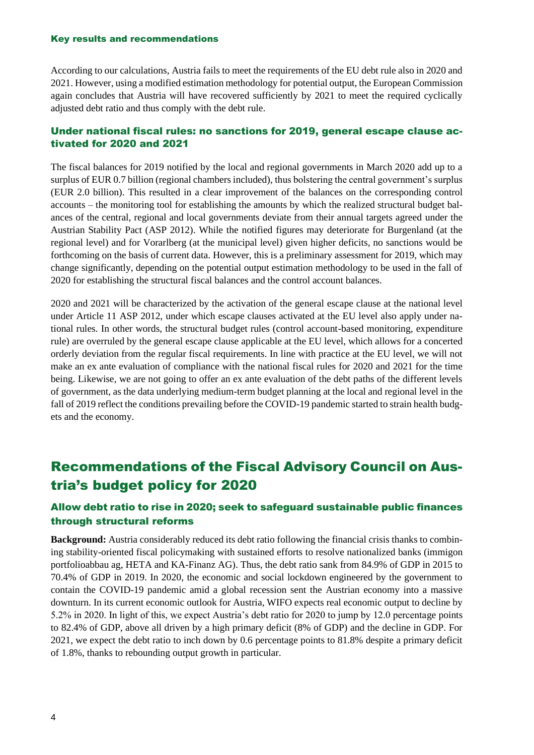#### Key results and recommendations

According to our calculations, Austria fails to meet the requirements of the EU debt rule also in 2020 and 2021. However, using a modified estimation methodology for potential output, the European Commission again concludes that Austria will have recovered sufficiently by 2021 to meet the required cyclically adjusted debt ratio and thus comply with the debt rule.

### Under national fiscal rules: no sanctions for 2019, general escape clause activated for 2020 and 2021

The fiscal balances for 2019 notified by the local and regional governments in March 2020 add up to a surplus of EUR 0.7 billion (regional chambers included), thus bolstering the central government's surplus (EUR 2.0 billion). This resulted in a clear improvement of the balances on the corresponding control accounts – the monitoring tool for establishing the amounts by which the realized structural budget balances of the central, regional and local governments deviate from their annual targets agreed under the Austrian Stability Pact (ASP 2012). While the notified figures may deteriorate for Burgenland (at the regional level) and for Vorarlberg (at the municipal level) given higher deficits, no sanctions would be forthcoming on the basis of current data. However, this is a preliminary assessment for 2019, which may change significantly, depending on the potential output estimation methodology to be used in the fall of 2020 for establishing the structural fiscal balances and the control account balances.

2020 and 2021 will be characterized by the activation of the general escape clause at the national level under Article 11 ASP 2012, under which escape clauses activated at the EU level also apply under national rules. In other words, the structural budget rules (control account-based monitoring, expenditure rule) are overruled by the general escape clause applicable at the EU level, which allows for a concerted orderly deviation from the regular fiscal requirements. In line with practice at the EU level, we will not make an ex ante evaluation of compliance with the national fiscal rules for 2020 and 2021 for the time being. Likewise, we are not going to offer an ex ante evaluation of the debt paths of the different levels of government, as the data underlying medium-term budget planning at the local and regional level in the fall of 2019 reflect the conditions prevailing before the COVID-19 pandemic started to strain health budgets and the economy.

## Recommendations of the Fiscal Advisory Council on Austria's budget policy for 2020

## Allow debt ratio to rise in 2020; seek to safeguard sustainable public finances through structural reforms

**Background:** Austria considerably reduced its debt ratio following the financial crisis thanks to combining stability-oriented fiscal policymaking with sustained efforts to resolve nationalized banks (immigon portfolioabbau ag, HETA and KA-Finanz AG). Thus, the debt ratio sank from 84.9% of GDP in 2015 to 70.4% of GDP in 2019. In 2020, the economic and social lockdown engineered by the government to contain the COVID-19 pandemic amid a global recession sent the Austrian economy into a massive downturn. In its current economic outlook for Austria, WIFO expects real economic output to decline by 5.2% in 2020. In light of this, we expect Austria's debt ratio for 2020 to jump by 12.0 percentage points to 82.4% of GDP, above all driven by a high primary deficit (8% of GDP) and the decline in GDP. For 2021, we expect the debt ratio to inch down by 0.6 percentage points to 81.8% despite a primary deficit of 1.8%, thanks to rebounding output growth in particular.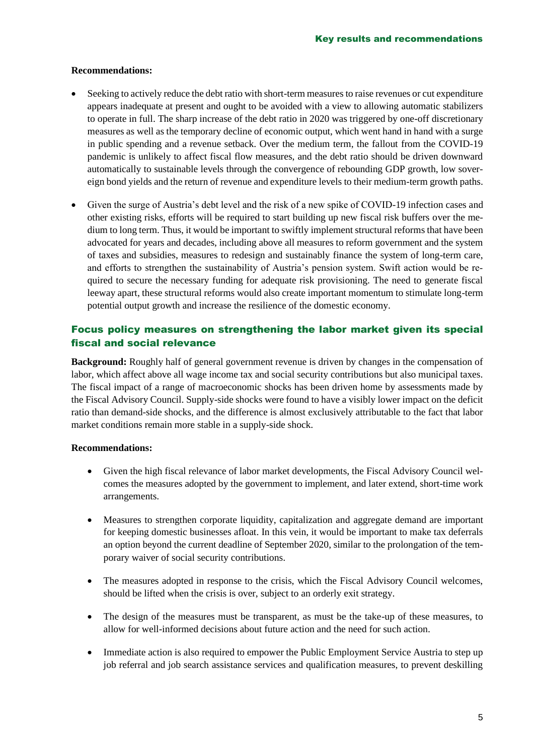### **Recommendations:**

- Seeking to actively reduce the debt ratio with short-term measures to raise revenues or cut expenditure appears inadequate at present and ought to be avoided with a view to allowing automatic stabilizers to operate in full. The sharp increase of the debt ratio in 2020 was triggered by one-off discretionary measures as well as the temporary decline of economic output, which went hand in hand with a surge in public spending and a revenue setback. Over the medium term, the fallout from the COVID-19 pandemic is unlikely to affect fiscal flow measures, and the debt ratio should be driven downward automatically to sustainable levels through the convergence of rebounding GDP growth, low sovereign bond yields and the return of revenue and expenditure levels to their medium-term growth paths.
- Given the surge of Austria's debt level and the risk of a new spike of COVID-19 infection cases and other existing risks, efforts will be required to start building up new fiscal risk buffers over the medium to long term. Thus, it would be important to swiftly implement structural reforms that have been advocated for years and decades, including above all measures to reform government and the system of taxes and subsidies, measures to redesign and sustainably finance the system of long-term care, and efforts to strengthen the sustainability of Austria's pension system. Swift action would be required to secure the necessary funding for adequate risk provisioning. The need to generate fiscal leeway apart, these structural reforms would also create important momentum to stimulate long-term potential output growth and increase the resilience of the domestic economy.

## Focus policy measures on strengthening the labor market given its special fiscal and social relevance

**Background:** Roughly half of general government revenue is driven by changes in the compensation of labor, which affect above all wage income tax and social security contributions but also municipal taxes. The fiscal impact of a range of macroeconomic shocks has been driven home by assessments made by the Fiscal Advisory Council. Supply-side shocks were found to have a visibly lower impact on the deficit ratio than demand-side shocks, and the difference is almost exclusively attributable to the fact that labor market conditions remain more stable in a supply-side shock.

### **Recommendations:**

- Given the high fiscal relevance of labor market developments, the Fiscal Advisory Council welcomes the measures adopted by the government to implement, and later extend, short-time work arrangements.
- Measures to strengthen corporate liquidity, capitalization and aggregate demand are important for keeping domestic businesses afloat. In this vein, it would be important to make tax deferrals an option beyond the current deadline of September 2020, similar to the prolongation of the temporary waiver of social security contributions.
- The measures adopted in response to the crisis, which the Fiscal Advisory Council welcomes, should be lifted when the crisis is over, subject to an orderly exit strategy.
- The design of the measures must be transparent, as must be the take-up of these measures, to allow for well-informed decisions about future action and the need for such action.
- Immediate action is also required to empower the Public Employment Service Austria to step up job referral and job search assistance services and qualification measures, to prevent deskilling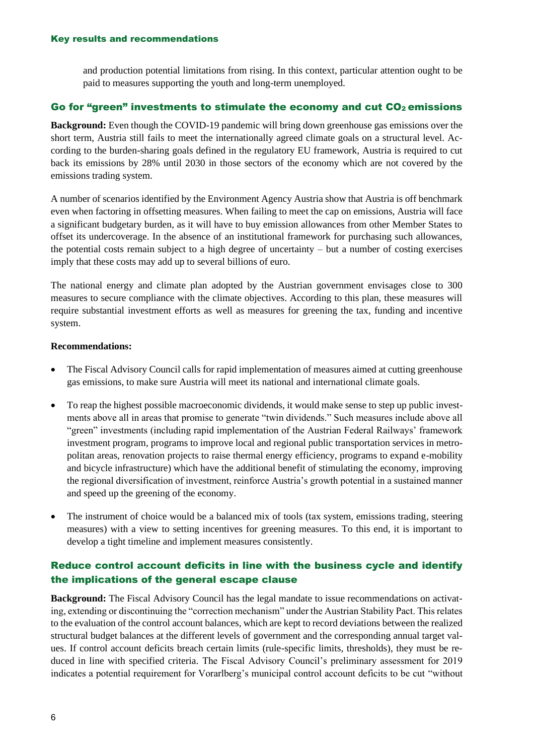and production potential limitations from rising. In this context, particular attention ought to be paid to measures supporting the youth and long-term unemployed.

### Go for "green" investments to stimulate the economy and cut  $CO<sub>2</sub>$  emissions

**Background:** Even though the COVID-19 pandemic will bring down greenhouse gas emissions over the short term, Austria still fails to meet the internationally agreed climate goals on a structural level. According to the burden-sharing goals defined in the regulatory EU framework, Austria is required to cut back its emissions by 28% until 2030 in those sectors of the economy which are not covered by the emissions trading system.

A number of scenarios identified by the Environment Agency Austria show that Austria is off benchmark even when factoring in offsetting measures. When failing to meet the cap on emissions, Austria will face a significant budgetary burden, as it will have to buy emission allowances from other Member States to offset its undercoverage. In the absence of an institutional framework for purchasing such allowances, the potential costs remain subject to a high degree of uncertainty – but a number of costing exercises imply that these costs may add up to several billions of euro.

The national energy and climate plan adopted by the Austrian government envisages close to 300 measures to secure compliance with the climate objectives. According to this plan, these measures will require substantial investment efforts as well as measures for greening the tax, funding and incentive system.

### **Recommendations:**

- The Fiscal Advisory Council calls for rapid implementation of measures aimed at cutting greenhouse gas emissions, to make sure Austria will meet its national and international climate goals.
- To reap the highest possible macroeconomic dividends, it would make sense to step up public investments above all in areas that promise to generate "twin dividends." Such measures include above all "green" investments (including rapid implementation of the Austrian Federal Railways' framework investment program, programs to improve local and regional public transportation services in metropolitan areas, renovation projects to raise thermal energy efficiency, programs to expand e-mobility and bicycle infrastructure) which have the additional benefit of stimulating the economy, improving the regional diversification of investment, reinforce Austria's growth potential in a sustained manner and speed up the greening of the economy.
- The instrument of choice would be a balanced mix of tools (tax system, emissions trading, steering measures) with a view to setting incentives for greening measures. To this end, it is important to develop a tight timeline and implement measures consistently.

## Reduce control account deficits in line with the business cycle and identify the implications of the general escape clause

**Background:** The Fiscal Advisory Council has the legal mandate to issue recommendations on activating, extending or discontinuing the "correction mechanism" under the Austrian Stability Pact. This relates to the evaluation of the control account balances, which are kept to record deviations between the realized structural budget balances at the different levels of government and the corresponding annual target values. If control account deficits breach certain limits (rule-specific limits, thresholds), they must be reduced in line with specified criteria. The Fiscal Advisory Council's preliminary assessment for 2019 indicates a potential requirement for Vorarlberg's municipal control account deficits to be cut "without